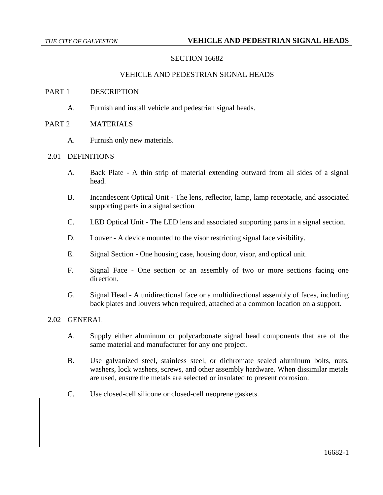# **SECTION 16682**

### VEHICLE AND PEDESTRIAN SIGNAL HEADS

#### PART 1 DESCRIPTION

A. Furnish and install vehicle and pedestrian signal heads.

# PART 2 MATERIALS

A. Furnish only new materials.

# 2.01 DEFINITIONS

- A. Back Plate A thin strip of material extending outward from all sides of a signal head.
- B. Incandescent Optical Unit The lens, reflector, lamp, lamp receptacle, and associated supporting parts in a signal section
- C. LED Optical Unit The LED lens and associated supporting parts in a signal section.
- D. Louver A device mounted to the visor restricting signal face visibility.
- E. Signal Section One housing case, housing door, visor, and optical unit.
- F. Signal Face One section or an assembly of two or more sections facing one direction.
- G. Signal Head A unidirectional face or a multidirectional assembly of faces, including back plates and louvers when required, attached at a common location on a support.

# 2.02 GENERAL

- A. Supply either aluminum or polycarbonate signal head components that are of the same material and manufacturer for any one project.
- B. Use galvanized steel, stainless steel, or dichromate sealed aluminum bolts, nuts, washers, lock washers, screws, and other assembly hardware. When dissimilar metals are used, ensure the metals are selected or insulated to prevent corrosion.
- C. Use closed-cell silicone or closed-cell neoprene gaskets.